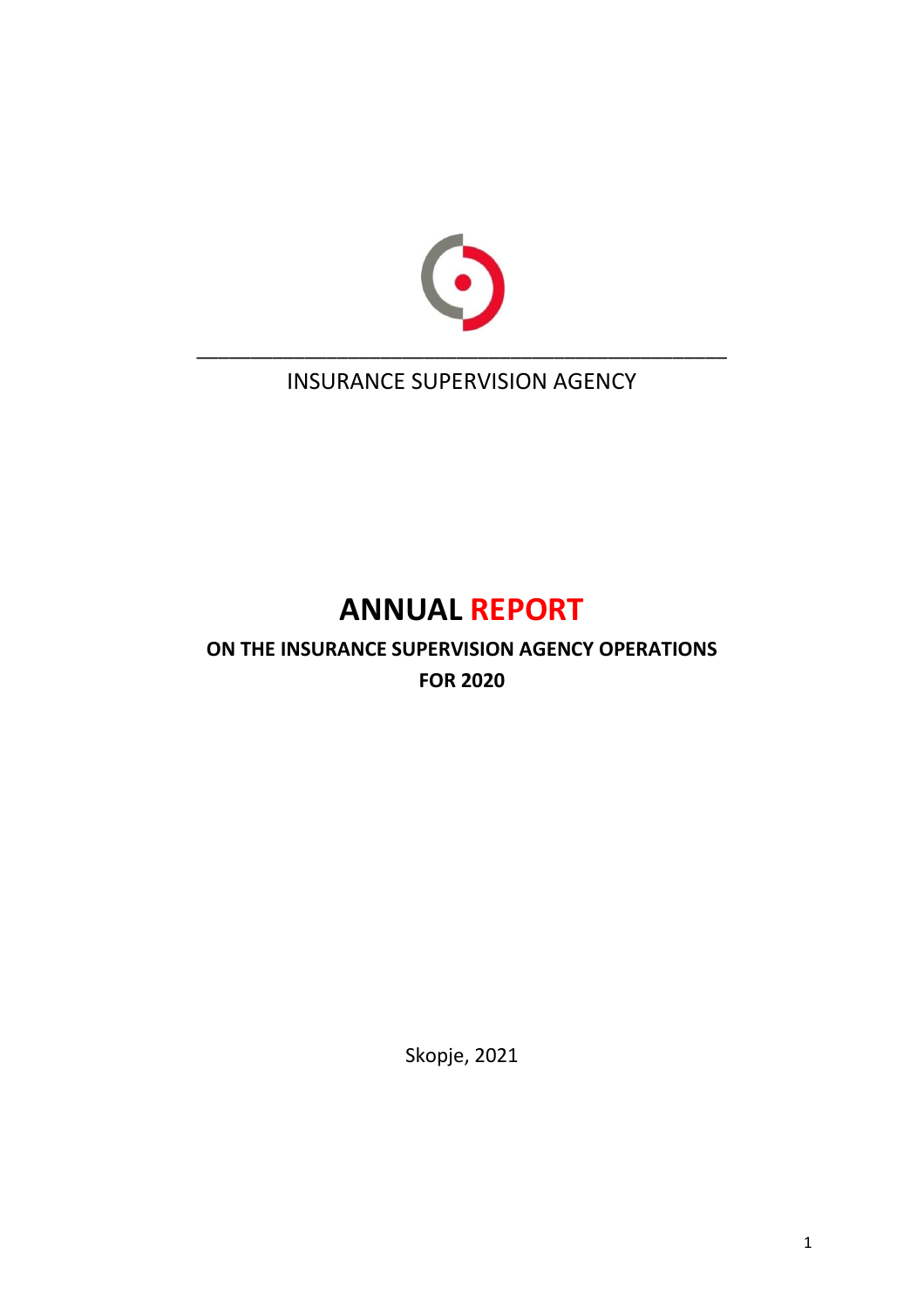

INSURANCE SUPERVISION AGENCY

# **ANNUAL REPORT**

# **ON THE INSURANCE SUPERVISION AGENCY OPERATIONS FOR 2020**

Skopje, 2021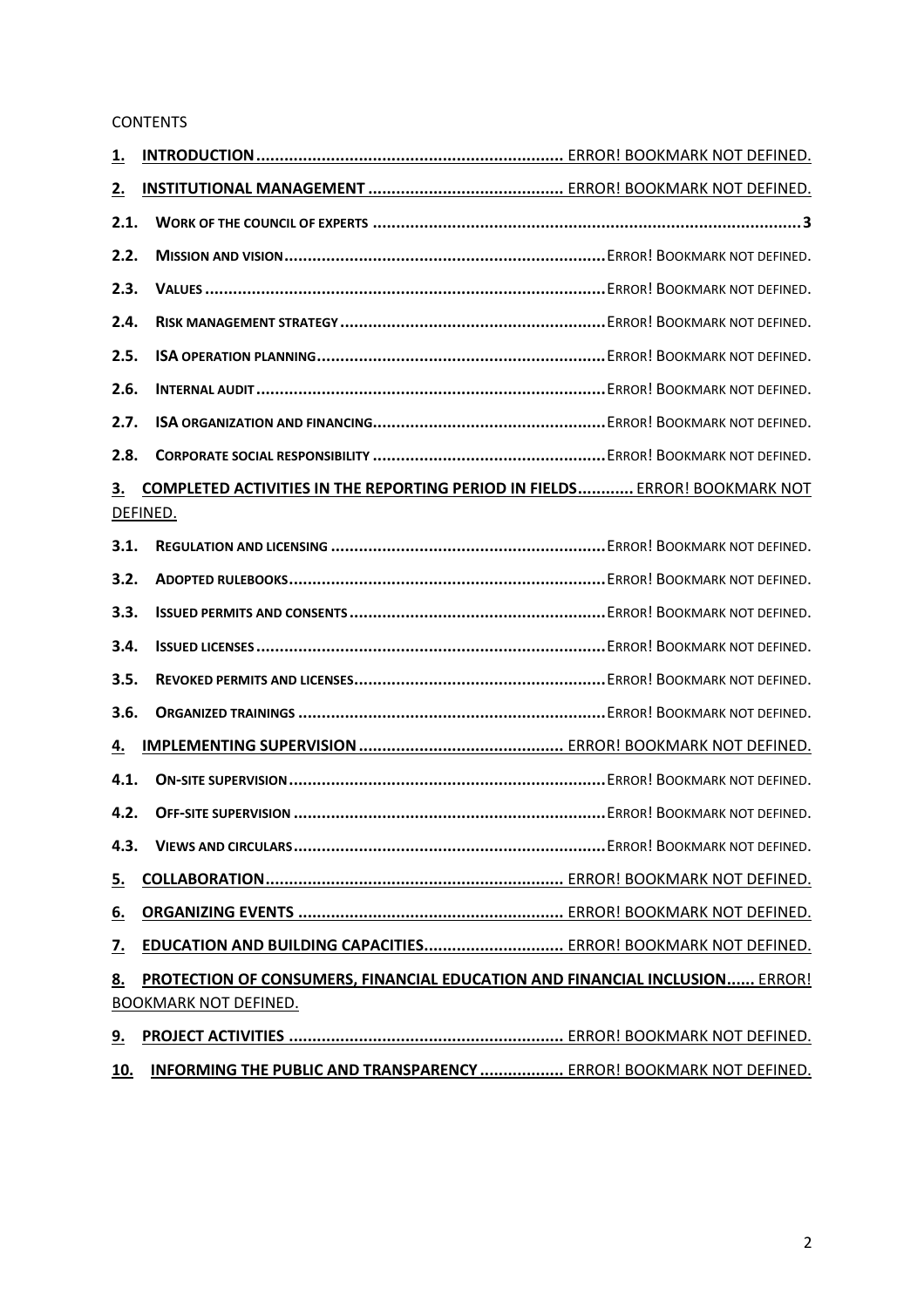#### **CONTENTS**

| <u>1.</u>                                                                                                                |  |                                                                |
|--------------------------------------------------------------------------------------------------------------------------|--|----------------------------------------------------------------|
| <u>2.</u>                                                                                                                |  |                                                                |
| 2.1.                                                                                                                     |  |                                                                |
| 2.2.                                                                                                                     |  |                                                                |
| 2.3.                                                                                                                     |  |                                                                |
| 2.4.                                                                                                                     |  |                                                                |
| 2.5.                                                                                                                     |  |                                                                |
| 2.6.                                                                                                                     |  |                                                                |
| 2.7.                                                                                                                     |  |                                                                |
| 2.8.                                                                                                                     |  |                                                                |
| <b>COMPLETED ACTIVITIES IN THE REPORTING PERIOD IN FIELDS ERROR! BOOKMARK NOT</b><br><u>3.</u><br>DEFINED.               |  |                                                                |
| 3.1.                                                                                                                     |  |                                                                |
| 3.2.                                                                                                                     |  |                                                                |
| 3.3.                                                                                                                     |  |                                                                |
| 3.4.                                                                                                                     |  |                                                                |
| 3.5.                                                                                                                     |  |                                                                |
| 3.6.                                                                                                                     |  |                                                                |
| 4.                                                                                                                       |  |                                                                |
| 4.1.                                                                                                                     |  |                                                                |
| 4.2.                                                                                                                     |  |                                                                |
| 4.3.                                                                                                                     |  |                                                                |
| <u>5.</u>                                                                                                                |  |                                                                |
| <u>6.</u>                                                                                                                |  |                                                                |
| <u>7.</u>                                                                                                                |  | EDUCATION AND BUILDING CAPACITIES ERROR! BOOKMARK NOT DEFINED. |
| 8.<br><b>PROTECTION OF CONSUMERS, FINANCIAL EDUCATION AND FINANCIAL INCLUSION ERROR!</b><br><b>BOOKMARK NOT DEFINED.</b> |  |                                                                |
| <u>9.</u>                                                                                                                |  |                                                                |

# **10. INFORMING THE PUBLIC AND TRANSPARENCY ..................** ERROR! BOOKMARK NOT DEFINED.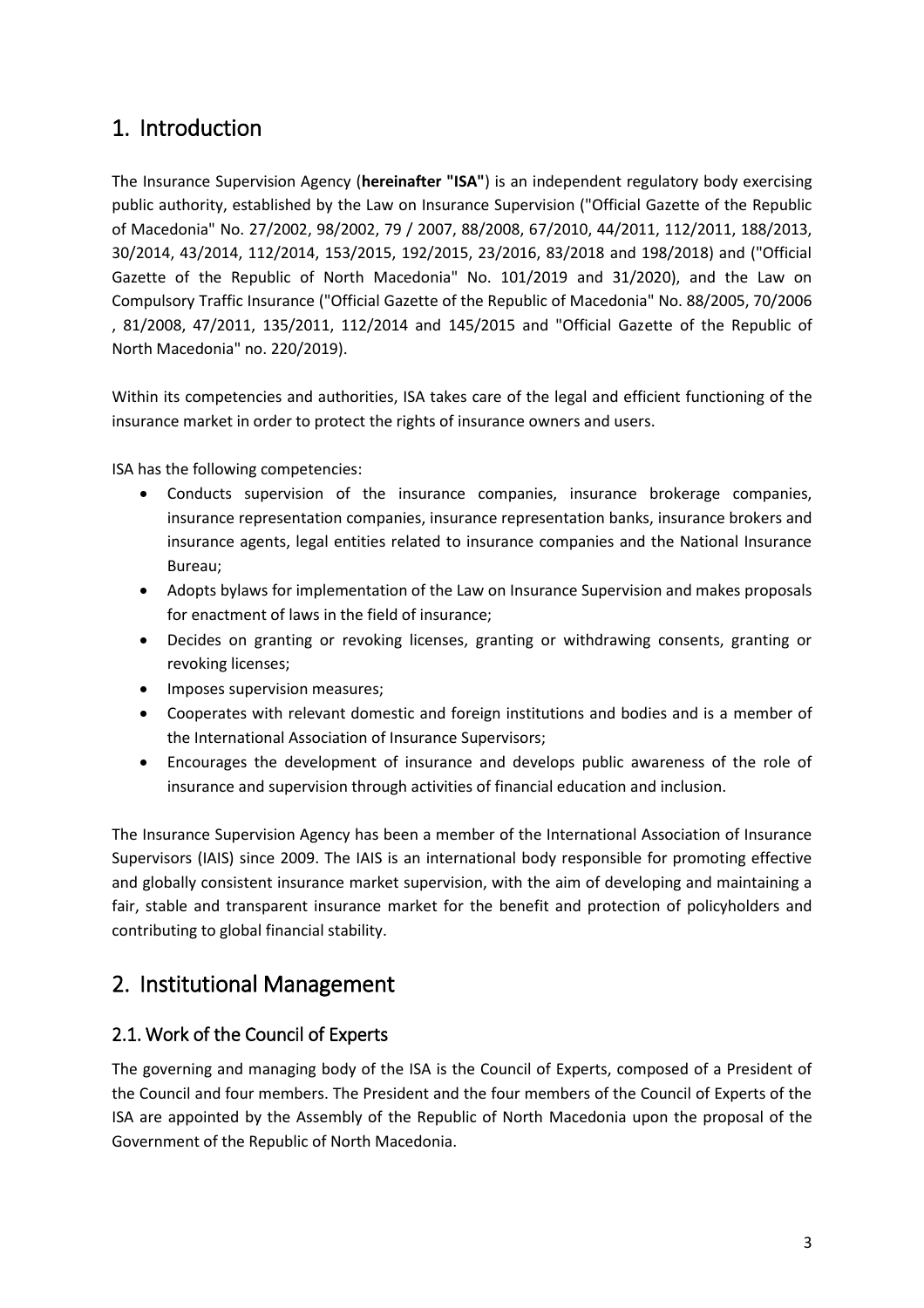# 1. Introduction

The Insurance Supervision Agency (**hereinafter "ISA"**) is an independent regulatory body exercising public authority, established by the Law on Insurance Supervision ("Official Gazette of the Republic of Macedonia" No. 27/2002, 98/2002, 79 / 2007, 88/2008, 67/2010, 44/2011, 112/2011, 188/2013, 30/2014, 43/2014, 112/2014, 153/2015, 192/2015, 23/2016, 83/2018 and 198/2018) and ("Official Gazette of the Republic of North Macedonia" No. 101/2019 and 31/2020), and the Law on Compulsory Traffic Insurance ("Official Gazette of the Republic of Macedonia" No. 88/2005, 70/2006 , 81/2008, 47/2011, 135/2011, 112/2014 and 145/2015 and "Official Gazette of the Republic of North Macedonia" no. 220/2019).

Within its competencies and authorities, ISA takes care of the legal and efficient functioning of the insurance market in order to protect the rights of insurance owners and users.

ISA has the following competencies:

- Conducts supervision of the insurance companies, insurance brokerage companies, insurance representation companies, insurance representation banks, insurance brokers and insurance agents, legal entities related to insurance companies and the National Insurance Bureau;
- Adopts bylaws for implementation of the Law on Insurance Supervision and makes proposals for enactment of laws in the field of insurance;
- Decides on granting or revoking licenses, granting or withdrawing consents, granting or revoking licenses;
- Imposes supervision measures;
- Cooperates with relevant domestic and foreign institutions and bodies and is a member of the International Association of Insurance Supervisors;
- Encourages the development of insurance and develops public awareness of the role of insurance and supervision through activities of financial education and inclusion.

The Insurance Supervision Agency has been a member of the International Association of Insurance Supervisors (IAIS) since 2009. The IAIS is an international body responsible for promoting effective and globally consistent insurance market supervision, with the aim of developing and maintaining a fair, stable and transparent insurance market for the benefit and protection of policyholders and contributing to global financial stability.

## 2. Institutional Management

### <span id="page-2-0"></span>2.1. Work of the Council of Experts

The governing and managing body of the ISA is the Council of Experts, composed of a President of the Council and four members. The President and the four members of the Council of Experts of the ISA are appointed by the Assembly of the Republic of North Macedonia upon the proposal of the Government of the Republic of North Macedonia.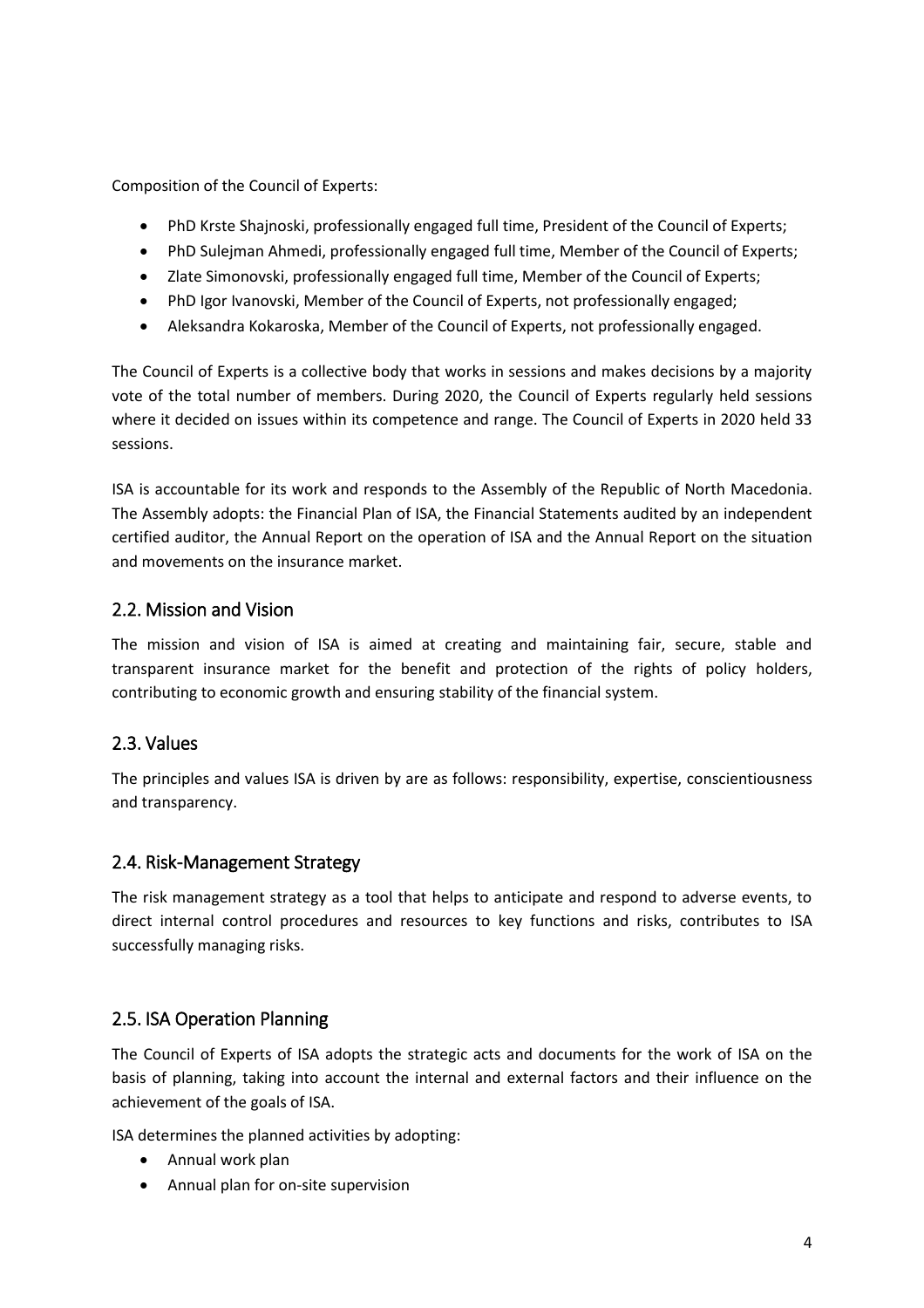Composition of the Council of Experts:

- PhD Krste Shajnoski, professionally engaged full time, President of the Council of Experts;
- PhD Sulejman Ahmedi, professionally engaged full time, Member of the Council of Experts;
- Zlate Simonovski, professionally engaged full time, Member of the Council of Experts;
- PhD Igor Ivanovski, Member of the Council of Experts, not professionally engaged;
- Aleksandra Kokaroska, Member of the Council of Experts, not professionally engaged.

The Council of Experts is a collective body that works in sessions and makes decisions by a majority vote of the total number of members. During 2020, the Council of Experts regularly held sessions where it decided on issues within its competence and range. The Council of Experts in 2020 held 33 sessions.

ISA is accountable for its work and responds to the Assembly of the Republic of North Macedonia. The Assembly adopts: the Financial Plan of ISA, the Financial Statements audited by an independent certified auditor, the Annual Report on the operation of ISA and the Annual Report on the situation and movements on the insurance market.

#### 2.2. Mission and Vision

The mission and vision of ISA is aimed at creating and maintaining fair, secure, stable and transparent insurance market for the benefit and protection of the rights of policy holders, contributing to economic growth and ensuring stability of the financial system.

### 2.3. Values

The principles and values ISA is driven by are as follows: responsibility, expertise, conscientiousness and transparency.

#### 2.4. Risk-Management Strategy

The risk management strategy as a tool that helps to anticipate and respond to adverse events, to direct internal control procedures and resources to key functions and risks, contributes to ISA successfully managing risks.

#### 2.5. ISA Operation Planning

The Council of Experts of ISA adopts the strategic acts and documents for the work of ISA on the basis of planning, taking into account the internal and external factors and their influence on the achievement of the goals of ISA.

ISA determines the planned activities by adopting:

- Annual work plan
- Annual plan for on-site supervision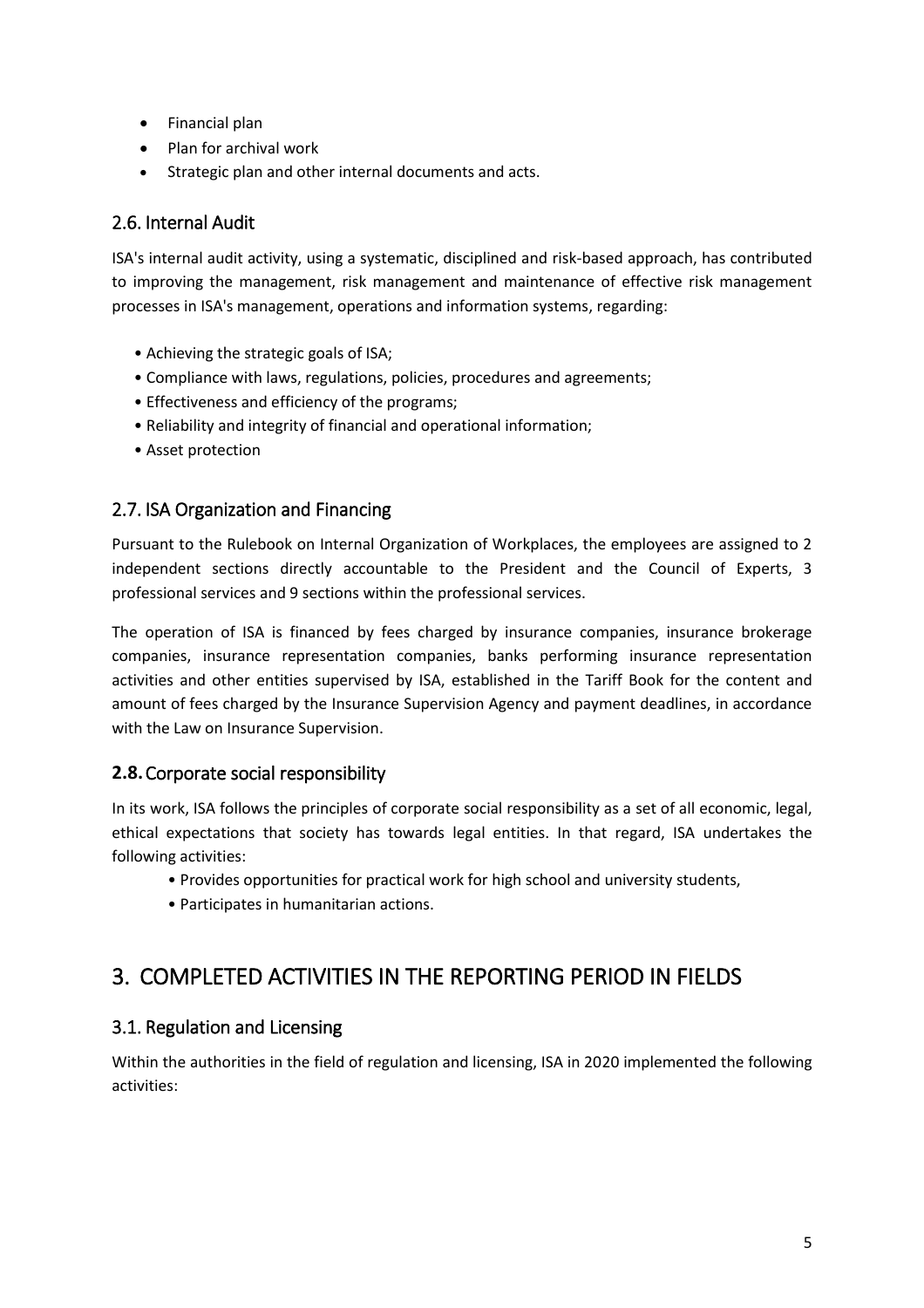- Financial plan
- Plan for archival work
- Strategic plan and other internal documents and acts.

### 2.6. Internal Audit

ISA's internal audit activity, using a systematic, disciplined and risk-based approach, has contributed to improving the management, risk management and maintenance of effective risk management processes in ISA's management, operations and information systems, regarding:

- Achieving the strategic goals of ISA;
- Compliance with laws, regulations, policies, procedures and agreements;
- Effectiveness and efficiency of the programs;
- Reliability and integrity of financial and operational information;
- Asset protection

### 2.7. ISA Organization and Financing

Pursuant to the Rulebook on Internal Organization of Workplaces, the employees are assigned to 2 independent sections directly accountable to the President and the Council of Experts, 3 professional services and 9 sections within the professional services.

The operation of ISA is financed by fees charged by insurance companies, insurance brokerage companies, insurance representation companies, banks performing insurance representation activities and other entities supervised by ISA, established in the Tariff Book for the content and amount of fees charged by the Insurance Supervision Agency and payment deadlines, in accordance with the Law on Insurance Supervision.

#### **2.8.**Corporate social responsibility

In its work, ISA follows the principles of corporate social responsibility as a set of all economic, legal, ethical expectations that society has towards legal entities. In that regard, ISA undertakes the following activities:

- Provides opportunities for practical work for high school and university students,
- Participates in humanitarian actions.

## 3. COMPLETED ACTIVITIES IN THE REPORTING PERIOD IN FIELDS

#### 3.1. Regulation and Licensing

Within the authorities in the field of regulation and licensing, ISA in 2020 implemented the following activities: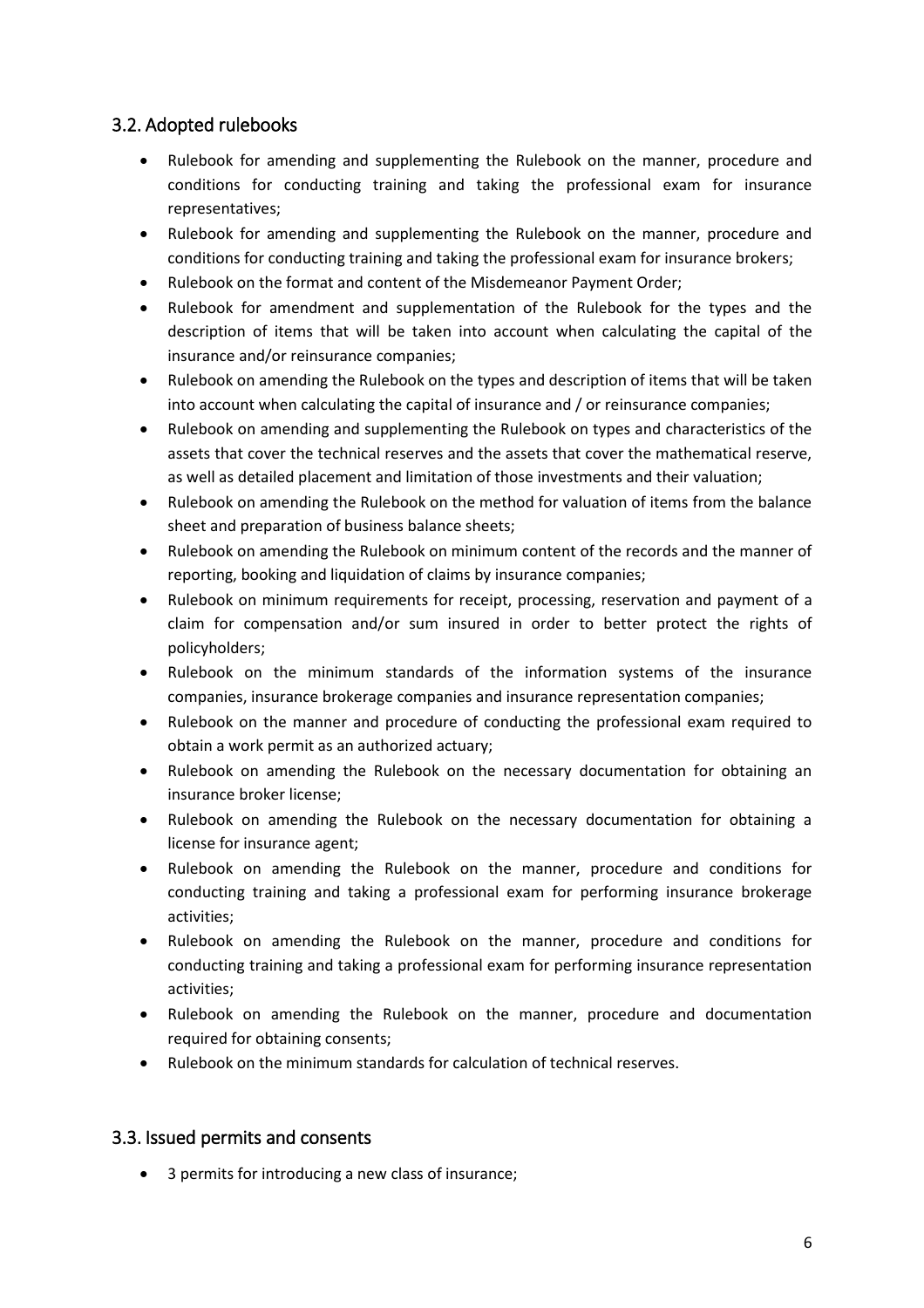### 3.2. Adopted rulebooks

- Rulebook for amending and supplementing the Rulebook on the manner, procedure and conditions for conducting training and taking the professional exam for insurance representatives;
- Rulebook for amending and supplementing the Rulebook on the manner, procedure and conditions for conducting training and taking the professional exam for insurance brokers;
- Rulebook on the format and content of the Misdemeanor Payment Order;
- Rulebook for amendment and supplementation of the Rulebook for the types and the description of items that will be taken into account when calculating the capital of the insurance and/or reinsurance companies;
- Rulebook on amending the Rulebook on the types and description of items that will be taken into account when calculating the capital of insurance and / or reinsurance companies;
- Rulebook on amending and supplementing the Rulebook on types and characteristics of the assets that cover the technical reserves and the assets that cover the mathematical reserve, as well as detailed placement and limitation of those investments and their valuation;
- Rulebook on amending the Rulebook on the method for valuation of items from the balance sheet and preparation of business balance sheets;
- Rulebook on amending the Rulebook on minimum content of the records and the manner of reporting, booking and liquidation of claims by insurance companies;
- Rulebook on minimum requirements for receipt, processing, reservation and payment of a claim for compensation and/or sum insured in order to better protect the rights of policyholders;
- Rulebook on the minimum standards of the information systems of the insurance companies, insurance brokerage companies and insurance representation companies;
- Rulebook on the manner and procedure of conducting the professional exam required to obtain a work permit as an authorized actuary;
- Rulebook on amending the Rulebook on the necessary documentation for obtaining an insurance broker license;
- Rulebook on amending the Rulebook on the necessary documentation for obtaining a license for insurance agent;
- Rulebook on amending the Rulebook on the manner, procedure and conditions for conducting training and taking a professional exam for performing insurance brokerage activities;
- Rulebook on amending the Rulebook on the manner, procedure and conditions for conducting training and taking a professional exam for performing insurance representation activities;
- Rulebook on amending the Rulebook on the manner, procedure and documentation required for obtaining consents;
- Rulebook on the minimum standards for calculation of technical reserves.

### 3.3. Issued permits and consents

3 permits for introducing a new class of insurance;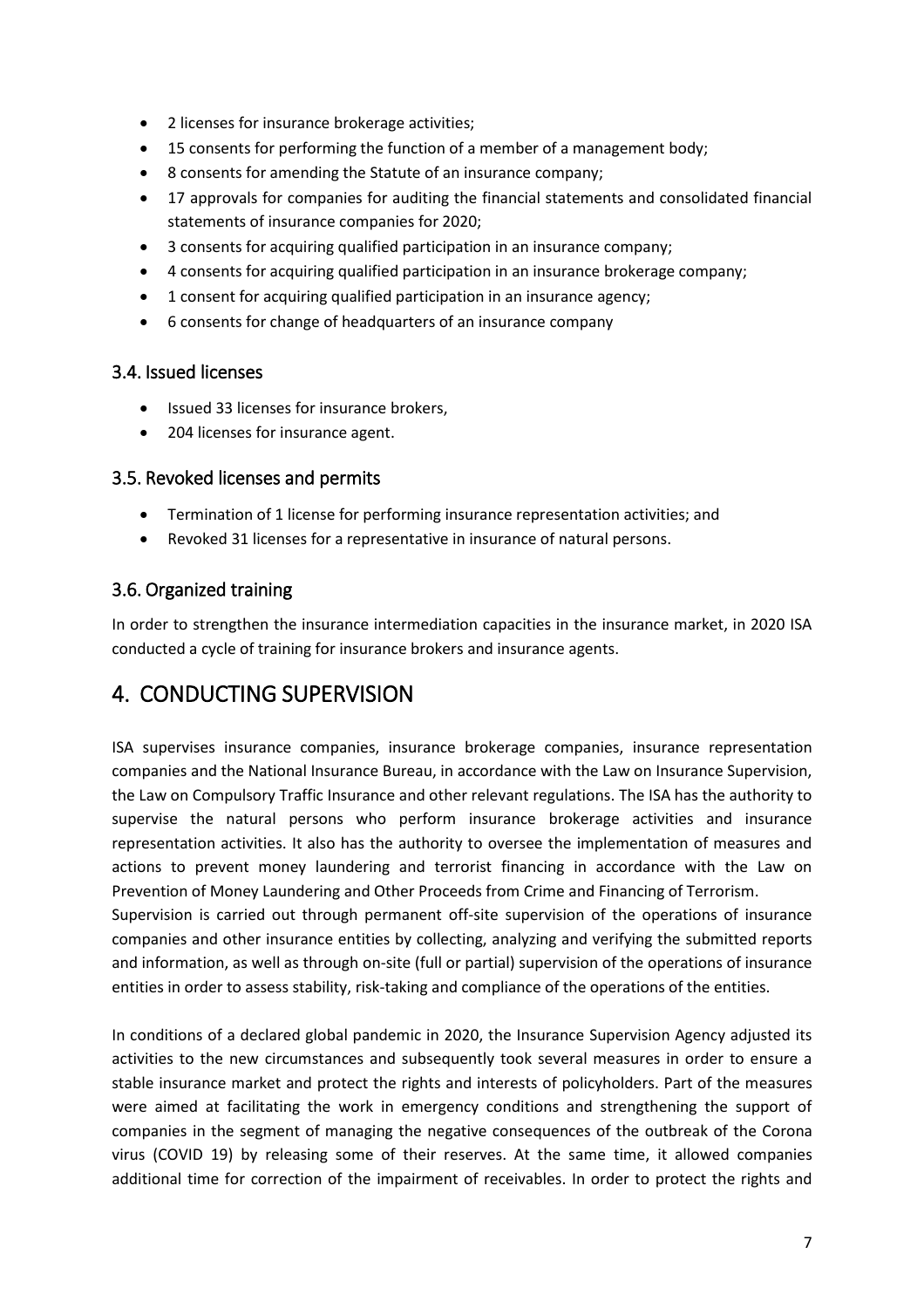- 2 licenses for insurance brokerage activities;
- 15 consents for performing the function of a member of a management body;
- 8 consents for amending the Statute of an insurance company;
- 17 approvals for companies for auditing the financial statements and consolidated financial statements of insurance companies for 2020;
- 3 consents for acquiring qualified participation in an insurance company;
- 4 consents for acquiring qualified participation in an insurance brokerage company;
- 1 consent for acquiring qualified participation in an insurance agency;
- 6 consents for change of headquarters of an insurance company

#### 3.4. Issued licenses

- Issued 33 licenses for insurance brokers,
- 204 licenses for insurance agent.

#### 3.5. Revoked licenses and permits

- Termination of 1 license for performing insurance representation activities; and
- Revoked 31 licenses for a representative in insurance of natural persons.

### 3.6. Organized training

In order to strengthen the insurance intermediation capacities in the insurance market, in 2020 ISA conducted a cycle of training for insurance brokers and insurance agents.

# 4. CONDUCTING SUPERVISION

ISA supervises insurance companies, insurance brokerage companies, insurance representation companies and the National Insurance Bureau, in accordance with the Law on Insurance Supervision, the Law on Compulsory Traffic Insurance and other relevant regulations. The ISA has the authority to supervise the natural persons who perform insurance brokerage activities and insurance representation activities. It also has the authority to oversee the implementation of measures and actions to prevent money laundering and terrorist financing in accordance with the Law on Prevention of Money Laundering and Other Proceeds from Crime and Financing of Terrorism.

Supervision is carried out through permanent off-site supervision of the operations of insurance companies and other insurance entities by collecting, analyzing and verifying the submitted reports and information, as well as through on-site (full or partial) supervision of the operations of insurance entities in order to assess stability, risk-taking and compliance of the operations of the entities.

In conditions of a declared global pandemic in 2020, the Insurance Supervision Agency adjusted its activities to the new circumstances and subsequently took several measures in order to ensure a stable insurance market and protect the rights and interests of policyholders. Part of the measures were aimed at facilitating the work in emergency conditions and strengthening the support of companies in the segment of managing the negative consequences of the outbreak of the Corona virus (COVID 19) by releasing some of their reserves. At the same time, it allowed companies additional time for correction of the impairment of receivables. In order to protect the rights and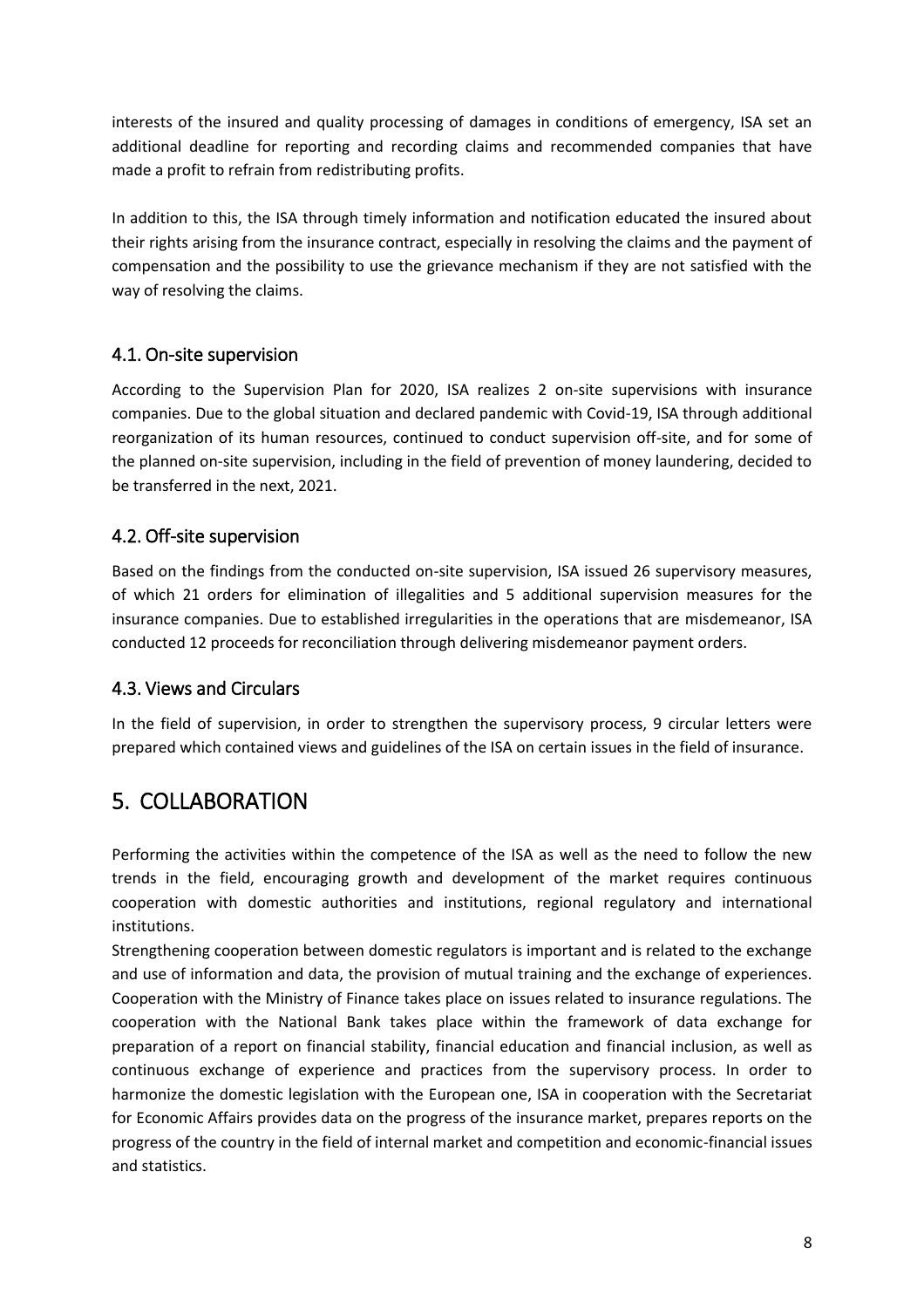interests of the insured and quality processing of damages in conditions of emergency, ISA set an additional deadline for reporting and recording claims and recommended companies that have made a profit to refrain from redistributing profits.

In addition to this, the ISA through timely information and notification educated the insured about their rights arising from the insurance contract, especially in resolving the claims and the payment of compensation and the possibility to use the grievance mechanism if they are not satisfied with the way of resolving the claims.

### 4.1. On-site supervision

According to the Supervision Plan for 2020, ISA realizes 2 on-site supervisions with insurance companies. Due to the global situation and declared pandemic with Covid-19, ISA through additional reorganization of its human resources, continued to conduct supervision off-site, and for some of the planned on-site supervision, including in the field of prevention of money laundering, decided to be transferred in the next, 2021.

### 4.2. Off-site supervision

Based on the findings from the conducted on-site supervision, ISA issued 26 supervisory measures, of which 21 orders for elimination of illegalities and 5 additional supervision measures for the insurance companies. Due to established irregularities in the operations that are misdemeanor, ISA conducted 12 proceeds for reconciliation through delivering misdemeanor payment orders.

#### 4.3. Views and Circulars

In the field of supervision, in order to strengthen the supervisory process, 9 circular letters were prepared which contained views and guidelines of the ISA on certain issues in the field of insurance.

## 5. COLLABORATION

Performing the activities within the competence of the ISA as well as the need to follow the new trends in the field, encouraging growth and development of the market requires continuous cooperation with domestic authorities and institutions, regional regulatory and international institutions.

Strengthening cooperation between domestic regulators is important and is related to the exchange and use of information and data, the provision of mutual training and the exchange of experiences. Cooperation with the Ministry of Finance takes place on issues related to insurance regulations. The cooperation with the National Bank takes place within the framework of data exchange for preparation of a report on financial stability, financial education and financial inclusion, as well as continuous exchange of experience and practices from the supervisory process. In order to harmonize the domestic legislation with the European one, ISA in cooperation with the Secretariat for Economic Affairs provides data on the progress of the insurance market, prepares reports on the progress of the country in the field of internal market and competition and economic-financial issues and statistics.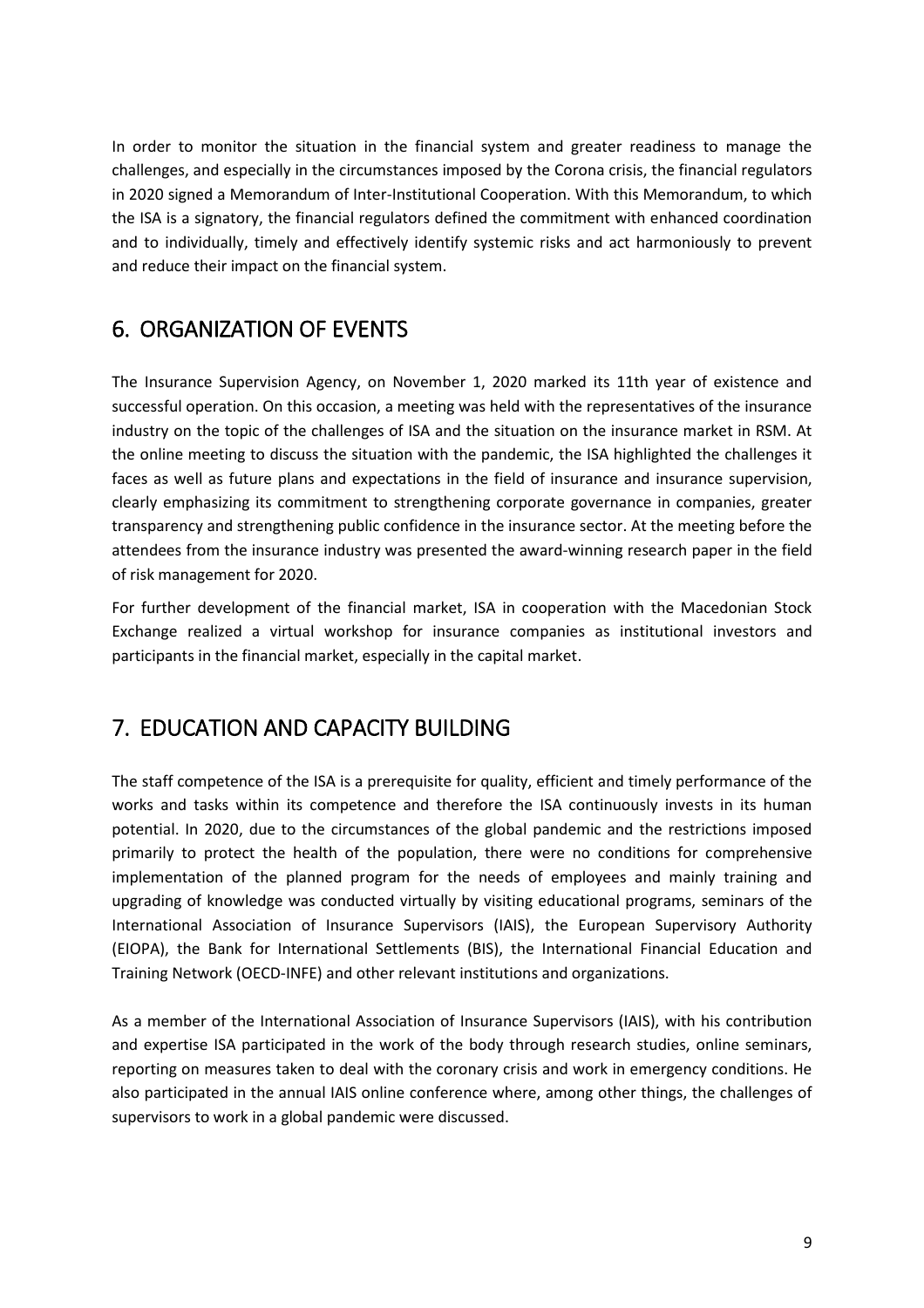In order to monitor the situation in the financial system and greater readiness to manage the challenges, and especially in the circumstances imposed by the Corona crisis, the financial regulators in 2020 signed a Memorandum of Inter-Institutional Cooperation. With this Memorandum, to which the ISA is a signatory, the financial regulators defined the commitment with enhanced coordination and to individually, timely and effectively identify systemic risks and act harmoniously to prevent and reduce their impact on the financial system.

# 6. ORGANIZATION OF EVENTS

The Insurance Supervision Agency, on November 1, 2020 marked its 11th year of existence and successful operation. On this occasion, a meeting was held with the representatives of the insurance industry on the topic of the challenges of ISA and the situation on the insurance market in RSM. At the online meeting to discuss the situation with the pandemic, the ISA highlighted the challenges it faces as well as future plans and expectations in the field of insurance and insurance supervision, clearly emphasizing its commitment to strengthening corporate governance in companies, greater transparency and strengthening public confidence in the insurance sector. At the meeting before the attendees from the insurance industry was presented the award-winning research paper in the field of risk management for 2020.

For further development of the financial market, ISA in cooperation with the Macedonian Stock Exchange realized a virtual workshop for insurance companies as institutional investors and participants in the financial market, especially in the capital market.

# 7. EDUCATION AND CAPACITY BUILDING

The staff competence of the ISA is a prerequisite for quality, efficient and timely performance of the works and tasks within its competence and therefore the ISA continuously invests in its human potential. In 2020, due to the circumstances of the global pandemic and the restrictions imposed primarily to protect the health of the population, there were no conditions for comprehensive implementation of the planned program for the needs of employees and mainly training and upgrading of knowledge was conducted virtually by visiting educational programs, seminars of the International Association of Insurance Supervisors (IAIS), the European Supervisory Authority (EIOPA), the Bank for International Settlements (BIS), the International Financial Education and Training Network (OECD-INFE) and other relevant institutions and organizations.

As a member of the International Association of Insurance Supervisors (IAIS), with his contribution and expertise ISA participated in the work of the body through research studies, online seminars, reporting on measures taken to deal with the coronary crisis and work in emergency conditions. He also participated in the annual IAIS online conference where, among other things, the challenges of supervisors to work in a global pandemic were discussed.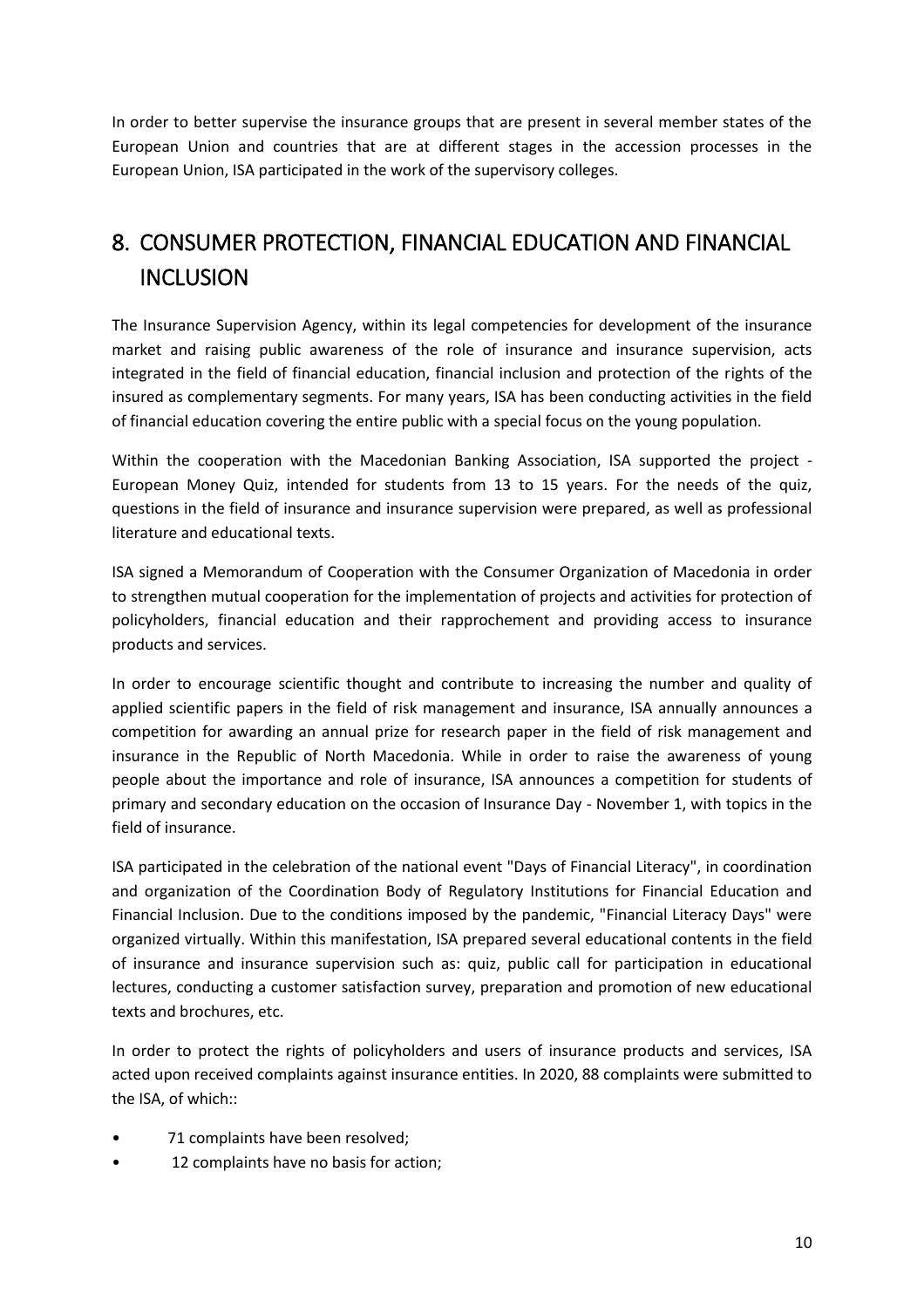In order to better supervise the insurance groups that are present in several member states of the European Union and countries that are at different stages in the accession processes in the European Union, ISA participated in the work of the supervisory colleges.

# 8. CONSUMER PROTECTION, FINANCIAL EDUCATION AND FINANCIAL **INCLUSION**

The Insurance Supervision Agency, within its legal competencies for development of the insurance market and raising public awareness of the role of insurance and insurance supervision, acts integrated in the field of financial education, financial inclusion and protection of the rights of the insured as complementary segments. For many years, ISA has been conducting activities in the field of financial education covering the entire public with a special focus on the young population.

Within the cooperation with the Macedonian Banking Association, ISA supported the project - European Money Quiz, intended for students from 13 to 15 years. For the needs of the quiz, questions in the field of insurance and insurance supervision were prepared, as well as professional literature and educational texts.

ISA signed a Memorandum of Cooperation with the Consumer Organization of Macedonia in order to strengthen mutual cooperation for the implementation of projects and activities for protection of policyholders, financial education and their rapprochement and providing access to insurance products and services.

In order to encourage scientific thought and contribute to increasing the number and quality of applied scientific papers in the field of risk management and insurance, ISA annually announces a competition for awarding an annual prize for research paper in the field of risk management and insurance in the Republic of North Macedonia. While in order to raise the awareness of young people about the importance and role of insurance, ISA announces a competition for students of primary and secondary education on the occasion of Insurance Day - November 1, with topics in the field of insurance.

ISA participated in the celebration of the national event "Days of Financial Literacy", in coordination and organization of the Coordination Body of Regulatory Institutions for Financial Education and Financial Inclusion. Due to the conditions imposed by the pandemic, "Financial Literacy Days" were organized virtually. Within this manifestation, ISA prepared several educational contents in the field of insurance and insurance supervision such as: quiz, public call for participation in educational lectures, conducting a customer satisfaction survey, preparation and promotion of new educational texts and brochures, etc.

In order to protect the rights of policyholders and users of insurance products and services, ISA acted upon received complaints against insurance entities. In 2020, 88 complaints were submitted to the ISA, of which::

- 71 complaints have been resolved;
- 12 complaints have no basis for action;